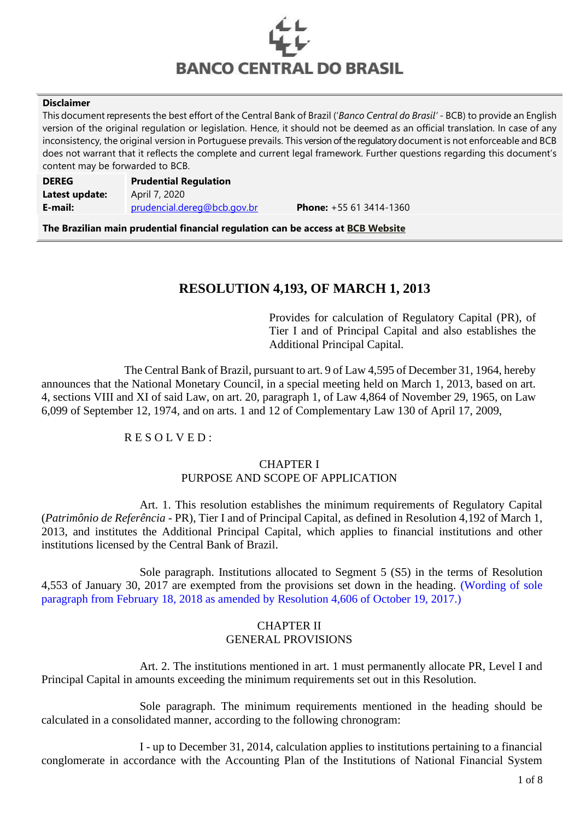

#### **Disclaimer**

This document represents the best effort of the Central Bank of Brazil ('*Banco Central do Brasil'* - BCB) to provide an English version of the original regulation or legislation. Hence, it should not be deemed as an official translation. In case of any inconsistency, the original version in Portuguese prevails. This version of the regulatory document is not enforceable and BCB does not warrant that it reflects the complete and current legal framework. Further questions regarding this document's content may be forwarded to BCB.

| <b>DEREG</b>   | <b>Prudential Regulation</b> |                                |
|----------------|------------------------------|--------------------------------|
| Latest update: | April 7, 2020                |                                |
| E-mail:        | prudencial.dereg@bcb.gov.br  | <b>Phone:</b> $+55613414-1360$ |

**The Brazilian main prudential financial regulation can be access at [BCB Website](https://www.bcb.gov.br/en/financialstability/Brazilian-Prudential-Financial-Regulation)**

# **RESOLUTION 4,193, OF MARCH 1, 2013**

Provides for calculation of Regulatory Capital (PR), of Tier I and of Principal Capital and also establishes the Additional Principal Capital.

The Central Bank of Brazil, pursuant to art. 9 of Law 4,595 of December 31, 1964, hereby announces that the National Monetary Council, in a special meeting held on March 1, 2013, based on art. 4, sections VIII and XI of said Law, on art. 20, paragraph 1, of Law 4,864 of November 29, 1965, on Law 6,099 of September 12, 1974, and on arts. 1 and 12 of Complementary Law 130 of April 17, 2009,

# R E S O L V E D :

# CHAPTER I PURPOSE AND SCOPE OF APPLICATION

Art. 1. This resolution establishes the minimum requirements of Regulatory Capital (*Patrimônio de Referência* - PR), Tier I and of Principal Capital, as defined in Resolution 4,192 of March 1, 2013, and institutes the Additional Principal Capital, which applies to financial institutions and other institutions licensed by the Central Bank of Brazil.

Sole paragraph. Institutions allocated to Segment 5 (S5) in the terms of Resolution 4,553 of January 30, 2017 are exempted from the provisions set down in the heading. (Wording of sole paragraph from February 18, 2018 as amended by Resolution 4,606 of October 19, 2017.)

### CHAPTER II GENERAL PROVISIONS

Art. 2. The institutions mentioned in art. 1 must permanently allocate PR, Level I and Principal Capital in amounts exceeding the minimum requirements set out in this Resolution.

Sole paragraph. The minimum requirements mentioned in the heading should be calculated in a consolidated manner, according to the following chronogram:

I - up to December 31, 2014, calculation applies to institutions pertaining to a financial conglomerate in accordance with the Accounting Plan of the Institutions of National Financial System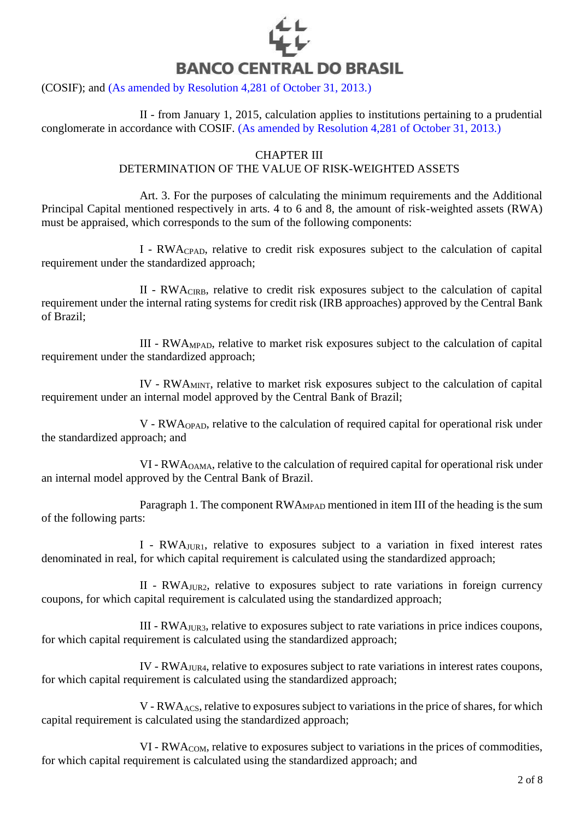

(COSIF); and (As amended by Resolution 4,281 of October 31, 2013.)

II - from January 1, 2015, calculation applies to institutions pertaining to a prudential conglomerate in accordance with COSIF. (As amended by Resolution 4,281 of October 31, 2013.)

#### CHAPTER III

#### DETERMINATION OF THE VALUE OF RISK-WEIGHTED ASSETS

Art. 3. For the purposes of calculating the minimum requirements and the Additional Principal Capital mentioned respectively in arts. 4 to 6 and 8, the amount of risk-weighted assets (RWA) must be appraised, which corresponds to the sum of the following components:

I - RWACPAD, relative to credit risk exposures subject to the calculation of capital requirement under the standardized approach;

II - RWACIRB, relative to credit risk exposures subject to the calculation of capital requirement under the internal rating systems for credit risk (IRB approaches) approved by the Central Bank of Brazil;

III - RWAMPAD, relative to market risk exposures subject to the calculation of capital requirement under the standardized approach;

IV - RWAMINT, relative to market risk exposures subject to the calculation of capital requirement under an internal model approved by the Central Bank of Brazil;

V - RWAOPAD, relative to the calculation of required capital for operational risk under the standardized approach; and

VI - RWAOAMA, relative to the calculation of required capital for operational risk under an internal model approved by the Central Bank of Brazil.

Paragraph 1. The component RWA<sub>MPAD</sub> mentioned in item III of the heading is the sum of the following parts:

I - RWAJUR1, relative to exposures subject to a variation in fixed interest rates denominated in real, for which capital requirement is calculated using the standardized approach;

II - RWAJUR2, relative to exposures subject to rate variations in foreign currency coupons, for which capital requirement is calculated using the standardized approach;

III - RWAJUR3, relative to exposures subject to rate variations in price indices coupons, for which capital requirement is calculated using the standardized approach;

IV - RWAJUR4, relative to exposures subject to rate variations in interest rates coupons, for which capital requirement is calculated using the standardized approach;

V - RWAACS, relative to exposures subject to variations in the price of shares, for which capital requirement is calculated using the standardized approach;

VI - RWACOM, relative to exposures subject to variations in the prices of commodities, for which capital requirement is calculated using the standardized approach; and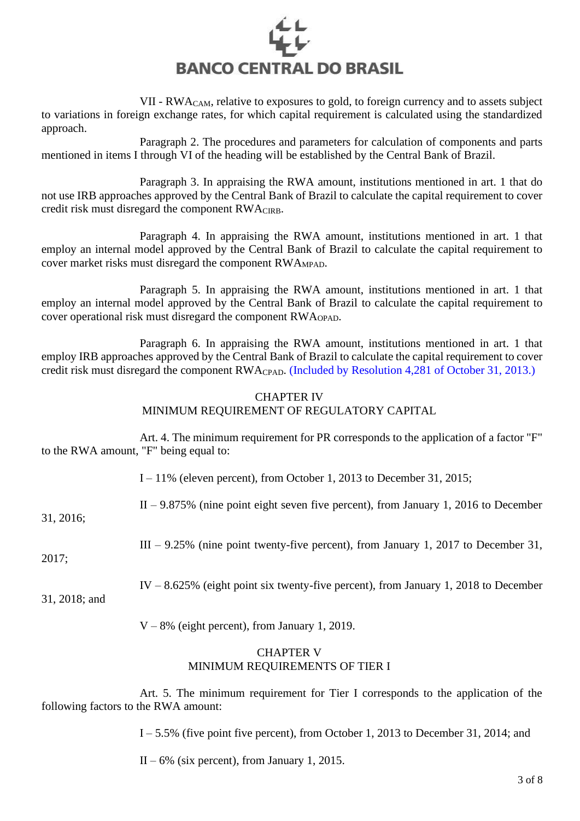

VII - RWACAM, relative to exposures to gold, to foreign currency and to assets subject to variations in foreign exchange rates, for which capital requirement is calculated using the standardized approach.

Paragraph 2. The procedures and parameters for calculation of components and parts mentioned in items I through VI of the heading will be established by the Central Bank of Brazil.

Paragraph 3. In appraising the RWA amount, institutions mentioned in art. 1 that do not use IRB approaches approved by the Central Bank of Brazil to calculate the capital requirement to cover credit risk must disregard the component RWACIRB.

Paragraph 4. In appraising the RWA amount, institutions mentioned in art. 1 that employ an internal model approved by the Central Bank of Brazil to calculate the capital requirement to cover market risks must disregard the component RWAMPAD.

Paragraph 5. In appraising the RWA amount, institutions mentioned in art. 1 that employ an internal model approved by the Central Bank of Brazil to calculate the capital requirement to cover operational risk must disregard the component RWAOPAD.

Paragraph 6. In appraising the RWA amount, institutions mentioned in art. 1 that employ IRB approaches approved by the Central Bank of Brazil to calculate the capital requirement to cover credit risk must disregard the component RWACPAD. (Included by Resolution 4,281 of October 31, 2013.)

### CHAPTER IV MINIMUM REQUIREMENT OF REGULATORY CAPITAL

Art. 4. The minimum requirement for PR corresponds to the application of a factor "F" to the RWA amount, "F" being equal to:

I – 11% (eleven percent), from October 1, 2013 to December 31, 2015;

II – 9.875% (nine point eight seven five percent), from January 1, 2016 to December

31, 2016;

III – 9.25% (nine point twenty-five percent), from January 1, 2017 to December 31,

2017;

IV – 8.625% (eight point six twenty-five percent), from January 1, 2018 to December

31, 2018; and

V – 8% (eight percent), from January 1, 2019.

# CHAPTER V MINIMUM REQUIREMENTS OF TIER I

Art. 5. The minimum requirement for Tier I corresponds to the application of the following factors to the RWA amount:

I – 5.5% (five point five percent), from October 1, 2013 to December 31, 2014; and

 $II - 6\%$  (six percent), from January 1, 2015.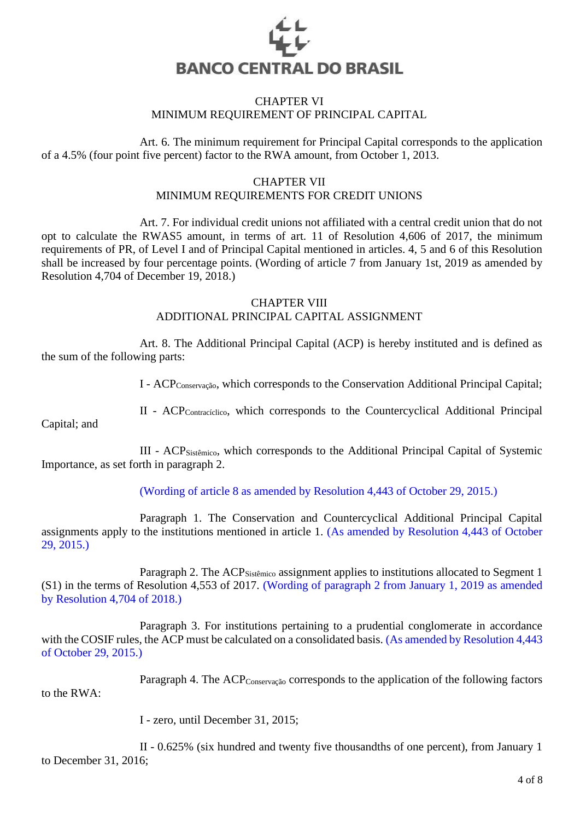

## CHAPTER VI MINIMUM REQUIREMENT OF PRINCIPAL CAPITAL

Art. 6. The minimum requirement for Principal Capital corresponds to the application of a 4.5% (four point five percent) factor to the RWA amount, from October 1, 2013.

# CHAPTER VII MINIMUM REQUIREMENTS FOR CREDIT UNIONS

Art. 7. For individual credit unions not affiliated with a central credit union that do not opt to calculate the RWAS5 amount, in terms of art. 11 of Resolution 4,606 of 2017, the minimum requirements of PR, of Level I and of Principal Capital mentioned in articles. 4, 5 and 6 of this Resolution shall be increased by four percentage points. (Wording of article 7 from January 1st, 2019 as amended by Resolution 4,704 of December 19, 2018.)

#### CHAPTER VIII

# ADDITIONAL PRINCIPAL CAPITAL ASSIGNMENT

Art. 8. The Additional Principal Capital (ACP) is hereby instituted and is defined as the sum of the following parts:

I - ACPConservação, which corresponds to the Conservation Additional Principal Capital;

II - ACPContracíclico, which corresponds to the Countercyclical Additional Principal

Capital; and

III - ACPSistêmico, which corresponds to the Additional Principal Capital of Systemic Importance, as set forth in paragraph 2.

(Wording of article 8 as amended by Resolution 4,443 of October 29, 2015.)

Paragraph 1. The Conservation and Countercyclical Additional Principal Capital assignments apply to the institutions mentioned in article 1. (As amended by Resolution 4,443 of October 29, 2015.)

Paragraph 2. The ACP<sub>Sistêmico</sub> assignment applies to institutions allocated to Segment 1 (S1) in the terms of Resolution 4,553 of 2017. (Wording of paragraph 2 from January 1, 2019 as amended by Resolution 4,704 of 2018.)

Paragraph 3. For institutions pertaining to a prudential conglomerate in accordance with the COSIF rules, the ACP must be calculated on a consolidated basis. (As amended by Resolution 4,443 of October 29, 2015.)

Paragraph 4. The ACP<sub>Conservação</sub> corresponds to the application of the following factors to the RWA:

I - zero, until December 31, 2015;

II - 0.625% (six hundred and twenty five thousandths of one percent), from January 1 to December 31, 2016;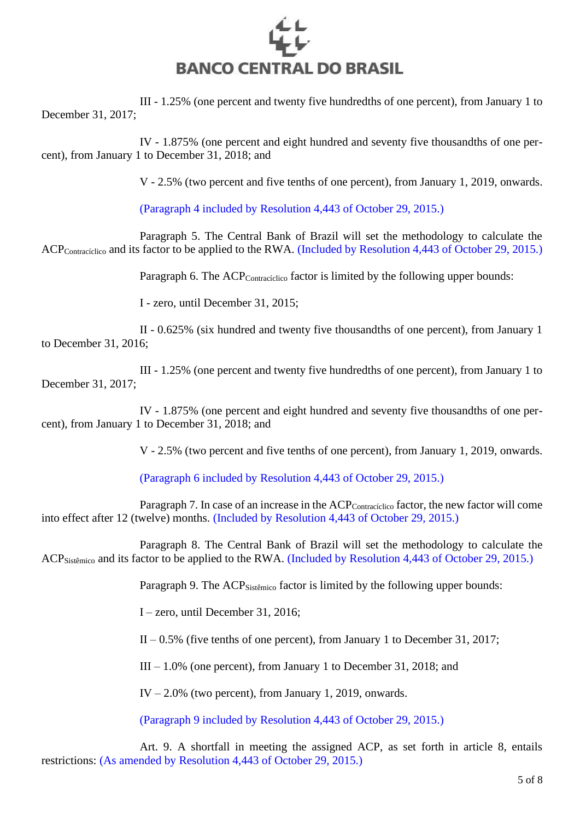

III - 1.25% (one percent and twenty five hundredths of one percent), from January 1 to December 31, 2017;

IV - 1.875% (one percent and eight hundred and seventy five thousandths of one percent), from January 1 to December 31, 2018; and

V - 2.5% (two percent and five tenths of one percent), from January 1, 2019, onwards.

(Paragraph 4 included by Resolution 4,443 of October 29, 2015.)

Paragraph 5. The Central Bank of Brazil will set the methodology to calculate the ACP<sub>Contracíclico</sub> and its factor to be applied to the RWA. (Included by Resolution 4,443 of October 29, 2015.)

Paragraph 6. The ACP<sub>Contracíclico</sub> factor is limited by the following upper bounds:

I - zero, until December 31, 2015;

II - 0.625% (six hundred and twenty five thousandths of one percent), from January 1 to December 31, 2016;

III - 1.25% (one percent and twenty five hundredths of one percent), from January 1 to December 31, 2017;

IV - 1.875% (one percent and eight hundred and seventy five thousandths of one percent), from January 1 to December 31, 2018; and

V - 2.5% (two percent and five tenths of one percent), from January 1, 2019, onwards.

(Paragraph 6 included by Resolution 4,443 of October 29, 2015.)

Paragraph 7. In case of an increase in the ACP<sub>Contracíclico</sub> factor, the new factor will come into effect after 12 (twelve) months. (Included by Resolution 4,443 of October 29, 2015.)

Paragraph 8. The Central Bank of Brazil will set the methodology to calculate the ACPSistêmico and its factor to be applied to the RWA. (Included by Resolution 4,443 of October 29, 2015.)

Paragraph 9. The ACP<sub>Sistêmico</sub> factor is limited by the following upper bounds:

I – zero, until December 31, 2016;

 $II - 0.5\%$  (five tenths of one percent), from January 1 to December 31, 2017;

III – 1.0% (one percent), from January 1 to December 31, 2018; and

IV – 2.0% (two percent), from January 1, 2019, onwards.

(Paragraph 9 included by Resolution 4,443 of October 29, 2015.)

Art. 9. A shortfall in meeting the assigned ACP, as set forth in article 8, entails restrictions: (As amended by Resolution 4,443 of October 29, 2015.)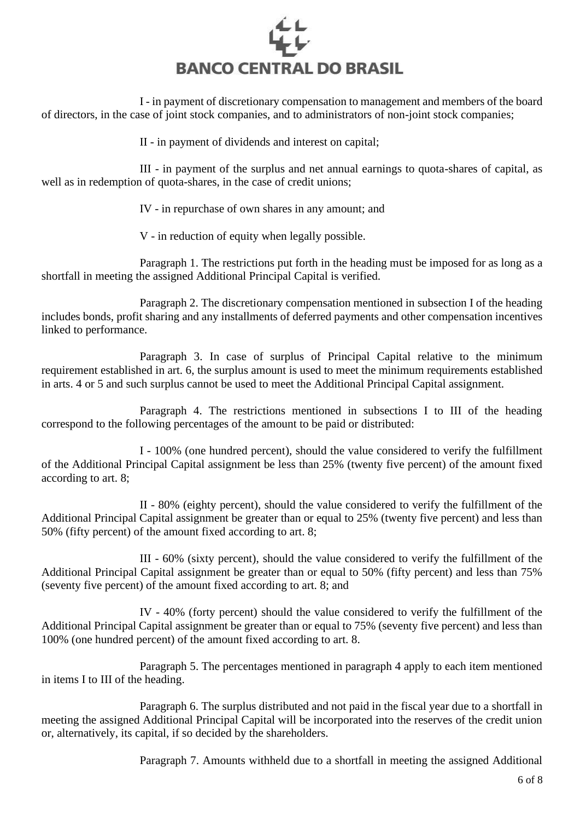

I - in payment of discretionary compensation to management and members of the board of directors, in the case of joint stock companies, and to administrators of non-joint stock companies;

II - in payment of dividends and interest on capital;

III - in payment of the surplus and net annual earnings to quota-shares of capital, as well as in redemption of quota-shares, in the case of credit unions;

IV - in repurchase of own shares in any amount; and

V - in reduction of equity when legally possible.

Paragraph 1. The restrictions put forth in the heading must be imposed for as long as a shortfall in meeting the assigned Additional Principal Capital is verified.

Paragraph 2. The discretionary compensation mentioned in subsection I of the heading includes bonds, profit sharing and any installments of deferred payments and other compensation incentives linked to performance.

Paragraph 3. In case of surplus of Principal Capital relative to the minimum requirement established in art. 6, the surplus amount is used to meet the minimum requirements established in arts. 4 or 5 and such surplus cannot be used to meet the Additional Principal Capital assignment.

Paragraph 4. The restrictions mentioned in subsections I to III of the heading correspond to the following percentages of the amount to be paid or distributed:

I - 100% (one hundred percent), should the value considered to verify the fulfillment of the Additional Principal Capital assignment be less than 25% (twenty five percent) of the amount fixed according to art. 8;

II - 80% (eighty percent), should the value considered to verify the fulfillment of the Additional Principal Capital assignment be greater than or equal to 25% (twenty five percent) and less than 50% (fifty percent) of the amount fixed according to art. 8;

III - 60% (sixty percent), should the value considered to verify the fulfillment of the Additional Principal Capital assignment be greater than or equal to 50% (fifty percent) and less than 75% (seventy five percent) of the amount fixed according to art. 8; and

IV - 40% (forty percent) should the value considered to verify the fulfillment of the Additional Principal Capital assignment be greater than or equal to 75% (seventy five percent) and less than 100% (one hundred percent) of the amount fixed according to art. 8.

Paragraph 5. The percentages mentioned in paragraph 4 apply to each item mentioned in items I to III of the heading.

Paragraph 6. The surplus distributed and not paid in the fiscal year due to a shortfall in meeting the assigned Additional Principal Capital will be incorporated into the reserves of the credit union or, alternatively, its capital, if so decided by the shareholders.

Paragraph 7. Amounts withheld due to a shortfall in meeting the assigned Additional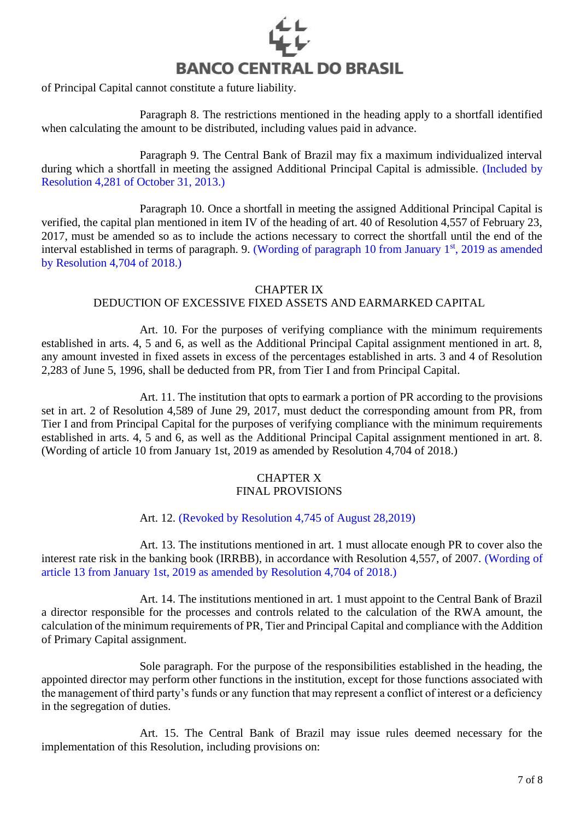

of Principal Capital cannot constitute a future liability.

Paragraph 8. The restrictions mentioned in the heading apply to a shortfall identified when calculating the amount to be distributed, including values paid in advance.

Paragraph 9. The Central Bank of Brazil may fix a maximum individualized interval during which a shortfall in meeting the assigned Additional Principal Capital is admissible. (Included by Resolution 4,281 of October 31, 2013.)

Paragraph 10. Once a shortfall in meeting the assigned Additional Principal Capital is verified, the capital plan mentioned in item IV of the heading of art. 40 of Resolution 4,557 of February 23, 2017, must be amended so as to include the actions necessary to correct the shortfall until the end of the interval established in terms of paragraph. 9. (Wording of paragraph 10 from January 1st, 2019 as amended by Resolution 4,704 of 2018.)

### CHAPTER IX

# DEDUCTION OF EXCESSIVE FIXED ASSETS AND EARMARKED CAPITAL

Art. 10. For the purposes of verifying compliance with the minimum requirements established in arts. 4, 5 and 6, as well as the Additional Principal Capital assignment mentioned in art. 8, any amount invested in fixed assets in excess of the percentages established in arts. 3 and 4 of Resolution 2,283 of June 5, 1996, shall be deducted from PR, from Tier I and from Principal Capital.

Art. 11. The institution that opts to earmark a portion of PR according to the provisions set in art. 2 of Resolution 4,589 of June 29, 2017, must deduct the corresponding amount from PR, from Tier I and from Principal Capital for the purposes of verifying compliance with the minimum requirements established in arts. 4, 5 and 6, as well as the Additional Principal Capital assignment mentioned in art. 8. (Wording of article 10 from January 1st, 2019 as amended by Resolution 4,704 of 2018.)

### CHAPTER X FINAL PROVISIONS

Art. 12. (Revoked by Resolution 4,745 of August 28,2019)

Art. 13. The institutions mentioned in art. 1 must allocate enough PR to cover also the interest rate risk in the banking book (IRRBB), in accordance with Resolution 4,557, of 2007. (Wording of article 13 from January 1st, 2019 as amended by Resolution 4,704 of 2018.)

Art. 14. The institutions mentioned in art. 1 must appoint to the Central Bank of Brazil a director responsible for the processes and controls related to the calculation of the RWA amount, the calculation of the minimum requirements of PR, Tier and Principal Capital and compliance with the Addition of Primary Capital assignment.

Sole paragraph. For the purpose of the responsibilities established in the heading, the appointed director may perform other functions in the institution, except for those functions associated with the management of third party's funds or any function that may represent a conflict of interest or a deficiency in the segregation of duties.

Art. 15. The Central Bank of Brazil may issue rules deemed necessary for the implementation of this Resolution, including provisions on: